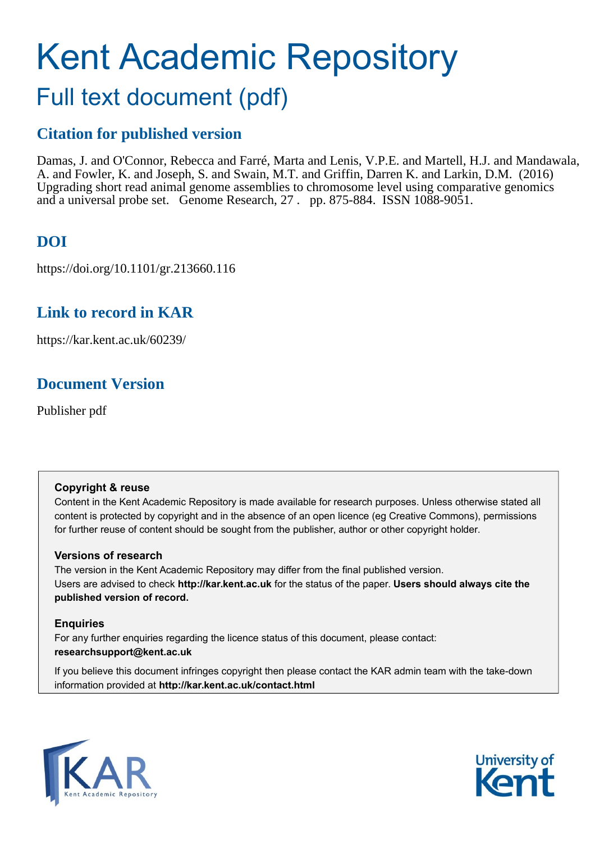# Kent Academic Repository Full text document (pdf)

# **Citation for published version**

Damas, J. and O'Connor, Rebecca and Farré, Marta and Lenis, V.P.E. and Martell, H.J. and Mandawala, A. and Fowler, K. and Joseph, S. and Swain, M.T. and Griffin, Darren K. and Larkin, D.M. (2016) Upgrading short read animal genome assemblies to chromosome level using comparative genomics and a universal probe set. Genome Research, 27 . pp. 875-884. ISSN 1088-9051.

# **DOI**

https://doi.org/10.1101/gr.213660.116

### **Link to record in KAR**

https://kar.kent.ac.uk/60239/

# **Document Version**

Publisher pdf

### **Copyright & reuse**

Content in the Kent Academic Repository is made available for research purposes. Unless otherwise stated all content is protected by copyright and in the absence of an open licence (eg Creative Commons), permissions for further reuse of content should be sought from the publisher, author or other copyright holder.

### **Versions of research**

The version in the Kent Academic Repository may differ from the final published version. Users are advised to check **http://kar.kent.ac.uk** for the status of the paper. **Users should always cite the published version of record.**

### **Enquiries**

For any further enquiries regarding the licence status of this document, please contact: **researchsupport@kent.ac.uk**

If you believe this document infringes copyright then please contact the KAR admin team with the take-down information provided at **http://kar.kent.ac.uk/contact.html**



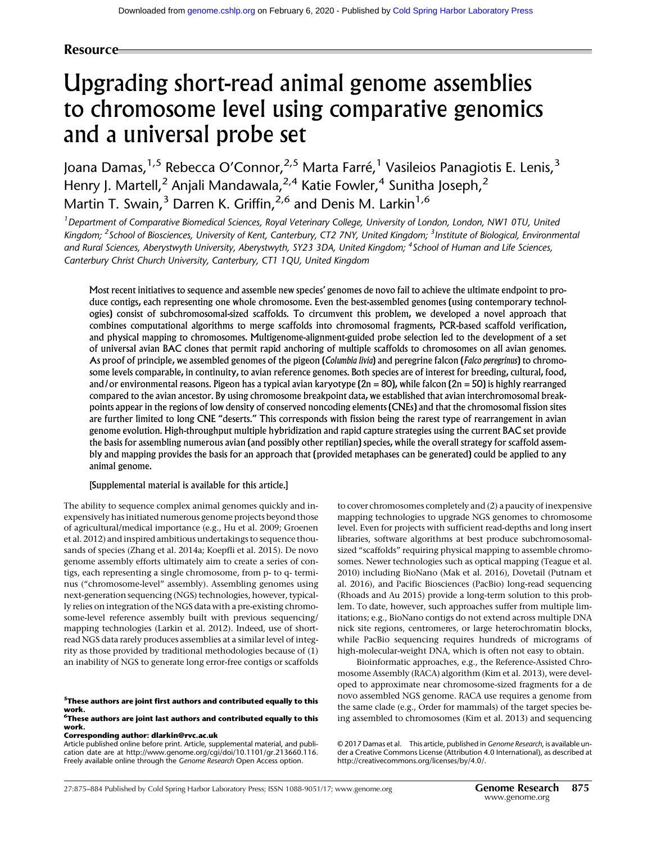#### Resource

# Upgrading short-read animal genome assemblies to chromosome level using comparative genomics and a universal probe set

Joana Damas, <sup>1,5</sup> Rebecca O'Connor, <sup>2,5</sup> Marta Farré, <sup>1</sup> Vasileios Panagiotis E. Lenis, <sup>3</sup> Henry J. Martell,<sup>2</sup> Anjali Mandawala,<sup>2,4</sup> Katie Fowler,<sup>4</sup> Sunitha Joseph,<sup>2</sup> Martin T. Swain, <sup>3</sup> Darren K. Griffin, <sup>2,6</sup> and Denis M. Larkin<sup>1,6</sup>

<sup>1</sup> Department of Comparative Biomedical Sciences, Royal Veterinary College, University of London, London, NW1 0TU, United Kingdom; <sup>2</sup>School of Biosciences, University of Kent, Canterbury, CT2 7NY, United Kingdom; <sup>3</sup>Institute of Biological, Environmental and Rural Sciences, Aberystwyth University, Aberystwyth, SY23 3DA, United Kingdom; <sup>4</sup>School of Human and Life Sciences, Canterbury Christ Church University, Canterbury, CT1 1QU, United Kingdom

Most recent initiatives to sequence and assemble new species' genomes de novo fail to achieve the ultimate endpoint to produce contigs, each representing one whole chromosome. Even the best-assembled genomes (using contemporary technologies) consist of subchromosomal-sized scaffolds. To circumvent this problem, we developed a novel approach that combines computational algorithms to merge scaffolds into chromosomal fragments, PCR-based scaffold verification, and physical mapping to chromosomes. Multigenome-alignment-guided probe selection led to the development of a set of universal avian BAC clones that permit rapid anchoring of multiple scaffolds to chromosomes on all avian genomes. As proof of principle, we assembled genomes of the pigeon (Columbia livia) and peregrine falcon (Falco peregrinus) to chromosome levels comparable, in continuity, to avian reference genomes. Both species are of interest for breeding, cultural, food, and/or environmental reasons. Pigeon has a typical avian karyotype  $(2n = 80)$ , while falcon  $(2n = 50)$  is highly rearranged compared to the avian ancestor. By using chromosome breakpoint data, we established that avian interchromosomal breakpoints appear in the regions of low density of conserved noncoding elements (CNEs) and that the chromosomal fission sites are further limited to long CNE "deserts." This corresponds with fission being the rarest type of rearrangement in avian genome evolution. High-throughput multiple hybridization and rapid capture strategies using the current BAC set provide the basis for assembling numerous avian (and possibly other reptilian) species, while the overall strategy for scaffold assembly and mapping provides the basis for an approach that (provided metaphases can be generated) could be applied to any animal genome.

#### [Supplemental material is available for this article.]

The ability to sequence complex animal genomes quickly and inexpensively has initiated numerous genome projects beyond those of agricultural/medical importance (e.g., Hu et al. 2009; Groenen et al. 2012) and inspired ambitious undertakings to sequence thousands of species (Zhang et al. 2014a; Koepfli et al. 2015). De novo genome assembly efforts ultimately aim to create a series of contigs, each representing a single chromosome, from p- to q- terminus ("chromosome-level" assembly). Assembling genomes using next-generation sequencing (NGS) technologies, however, typically relies on integration of the NGS data with a pre-existing chromosome-level reference assembly built with previous sequencing/ mapping technologies (Larkin et al. 2012). Indeed, use of shortread NGS data rarely produces assemblies at a similar level of integrity as those provided by traditional methodologies because of (1) an inability of NGS to generate long error-free contigs or scaffolds

<sup>5</sup>These authors are joint first authors and contributed equally to this work.<br><sup>6</sup>These authors are joint last authors and contributed equally to this

#### work. Corresponding author: [dlarkin@rvc.ac.uk](mailto:dlarkin@rvc.ac.uk)

Article published online before print. Article, supplemental material, and publication date are at [http://www.genome.org/cgi/doi/10.1101/gr.213660.116.](http://www.genome.org/cgi/doi/10.1101/gr.213660.116) Freely available online through the Genome Research Open Access option.

to cover chromosomes completely and (2) a paucity of inexpensive mapping technologies to upgrade NGS genomes to chromosome level. Even for projects with sufficient read-depths and long insert libraries, software algorithms at best produce subchromosomalsized "scaffolds" requiring physical mapping to assemble chromosomes. Newer technologies such as optical mapping (Teague et al. 2010) including BioNano (Mak et al. 2016), Dovetail (Putnam et al. 2016), and Pacific Biosciences (PacBio) long-read sequencing (Rhoads and Au 2015) provide a long-term solution to this problem. To date, however, such approaches suffer from multiple limitations; e.g., BioNano contigs do not extend across multiple DNA nick site regions, centromeres, or large heterochromatin blocks, while PacBio sequencing requires hundreds of micrograms of high-molecular-weight DNA, which is often not easy to obtain.

Bioinformatic approaches, e.g., the Reference-Assisted Chromosome Assembly (RACA) algorithm (Kim et al. 2013), were developed to approximate near chromosome-sized fragments for a de novo assembled NGS genome. RACA use requires a genome from the same clade (e.g., Order for mammals) of the target species being assembled to chromosomes (Kim et al. 2013) and sequencing

[© 2017 Damas et al.](http://genome.cshlp.org/site/misc/terms.xhtml) This article, published in Genome Research, is available under a Creative Commons License (Attribution 4.0 International), as described at [http://creativecommons.org/licenses/by/4.0/.](http://creativecommons.org/licenses/by/4.0/)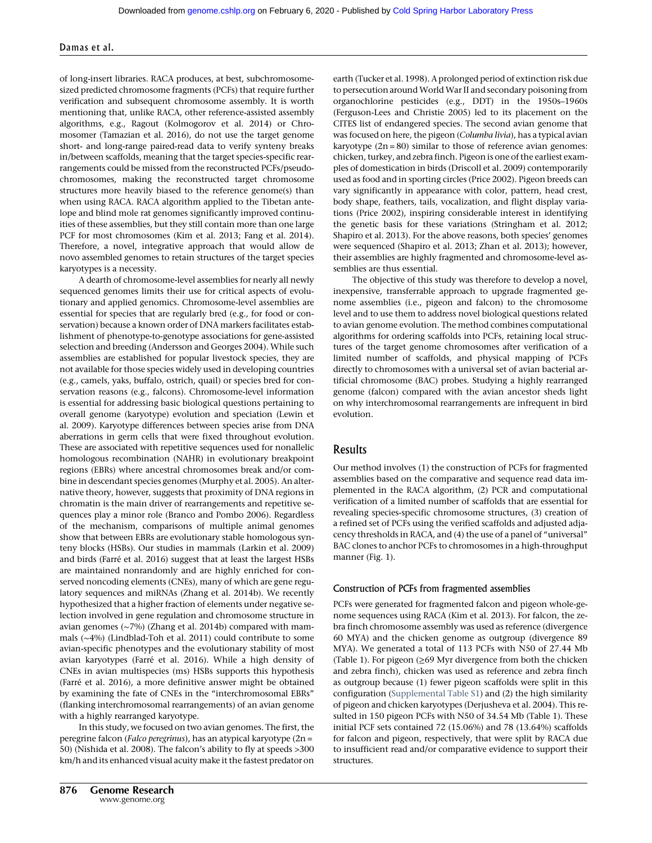#### Damas et al.

of long-insert libraries. RACA produces, at best, subchromosomesized predicted chromosome fragments (PCFs) that require further verification and subsequent chromosome assembly. It is worth mentioning that, unlike RACA, other reference-assisted assembly algorithms, e.g., Ragout (Kolmogorov et al. 2014) or Chromosomer (Tamazian et al. 2016), do not use the target genome short- and long-range paired-read data to verify synteny breaks in/between scaffolds, meaning that the target species-specific rearrangements could be missed from the reconstructed PCFs/pseudochromosomes, making the reconstructed target chromosome structures more heavily biased to the reference genome(s) than when using RACA. RACA algorithm applied to the Tibetan antelope and blind mole rat genomes significantly improved continuities of these assemblies, but they still contain more than one large PCF for most chromosomes (Kim et al. 2013; Fang et al. 2014). Therefore, a novel, integrative approach that would allow de novo assembled genomes to retain structures of the target species karyotypes is a necessity.

A dearth of chromosome-level assemblies for nearly all newly sequenced genomes limits their use for critical aspects of evolutionary and applied genomics. Chromosome-level assemblies are essential for species that are regularly bred (e.g., for food or conservation) because a known order of DNA markers facilitates establishment of phenotype-to-genotype associations for gene-assisted selection and breeding (Andersson and Georges 2004). While such assemblies are established for popular livestock species, they are not available for those species widely used in developing countries (e.g., camels, yaks, buffalo, ostrich, quail) or species bred for conservation reasons (e.g., falcons). Chromosome-level information is essential for addressing basic biological questions pertaining to overall genome (karyotype) evolution and speciation (Lewin et al. 2009). Karyotype differences between species arise from DNA aberrations in germ cells that were fixed throughout evolution. These are associated with repetitive sequences used for nonallelic homologous recombination (NAHR) in evolutionary breakpoint regions (EBRs) where ancestral chromosomes break and/or combine in descendant species genomes (Murphy et al. 2005). An alternative theory, however, suggests that proximity of DNA regions in chromatin is the main driver of rearrangements and repetitive sequences play a minor role (Branco and Pombo 2006). Regardless of the mechanism, comparisons of multiple animal genomes show that between EBRs are evolutionary stable homologous synteny blocks (HSBs). Our studies in mammals (Larkin et al. 2009) and birds (Farré et al. 2016) suggest that at least the largest HSBs are maintained nonrandomly and are highly enriched for conserved noncoding elements (CNEs), many of which are gene regulatory sequences and miRNAs (Zhang et al. 2014b). We recently hypothesized that a higher fraction of elements under negative selection involved in gene regulation and chromosome structure in avian genomes (∼7%) (Zhang et al. 2014b) compared with mammals (∼4%) (Lindblad-Toh et al. 2011) could contribute to some avian-specific phenotypes and the evolutionary stability of most avian karyotypes (Farré et al. 2016). While a high density of CNEs in avian multispecies (ms) HSBs supports this hypothesis (Farré et al. 2016), a more definitive answer might be obtained by examining the fate of CNEs in the "interchromosomal EBRs" (flanking interchromosomal rearrangements) of an avian genome with a highly rearranged karyotype.

In this study, we focused on two avian genomes. The first, the peregrine falcon (Falco peregrinus), has an atypical karyotype (2n = 50) (Nishida et al. 2008). The falcon's ability to fly at speeds >300 km/h and its enhanced visual acuity make it the fastest predator on earth (Tucker et al. 1998). A prolonged period of extinction risk due to persecution around World War II and secondary poisoning from organochlorine pesticides (e.g., DDT) in the 1950s–1960s (Ferguson-Lees and Christie 2005) led to its placement on the CITES list of endangered species. The second avian genome that was focused on here, the pigeon (Columba livia), has a typical avian karyotype  $(2n = 80)$  similar to those of reference avian genomes: chicken, turkey, and zebra finch. Pigeon is one of the earliest examples of domestication in birds (Driscoll et al. 2009) contemporarily used as food and in sporting circles (Price 2002). Pigeon breeds can vary significantly in appearance with color, pattern, head crest, body shape, feathers, tails, vocalization, and flight display variations (Price 2002), inspiring considerable interest in identifying the genetic basis for these variations (Stringham et al. 2012; Shapiro et al. 2013). For the above reasons, both species' genomes were sequenced (Shapiro et al. 2013; Zhan et al. 2013); however, their assemblies are highly fragmented and chromosome-level assemblies are thus essential.

The objective of this study was therefore to develop a novel, inexpensive, transferrable approach to upgrade fragmented genome assemblies (i.e., pigeon and falcon) to the chromosome level and to use them to address novel biological questions related to avian genome evolution. The method combines computational algorithms for ordering scaffolds into PCFs, retaining local structures of the target genome chromosomes after verification of a limited number of scaffolds, and physical mapping of PCFs directly to chromosomes with a universal set of avian bacterial artificial chromosome (BAC) probes. Studying a highly rearranged genome (falcon) compared with the avian ancestor sheds light on why interchromosomal rearrangements are infrequent in bird evolution.

#### Results

Our method involves (1) the construction of PCFs for fragmented assemblies based on the comparative and sequence read data implemented in the RACA algorithm, (2) PCR and computational verification of a limited number of scaffolds that are essential for revealing species-specific chromosome structures, (3) creation of a refined set of PCFs using the verified scaffolds and adjusted adjacency thresholds in RACA, and (4) the use of a panel of "universal" BAC clones to anchor PCFs to chromosomes in a high-throughput manner (Fig. 1).

#### Construction of PCFs from fragmented assemblies

PCFs were generated for fragmented falcon and pigeon whole-genome sequences using RACA (Kim et al. 2013). For falcon, the zebra finch chromosome assembly was used as reference (divergence 60 MYA) and the chicken genome as outgroup (divergence 89 MYA). We generated a total of 113 PCFs with N50 of 27.44 Mb (Table 1). For pigeon ( $\geq$ 69 Myr divergence from both the chicken and zebra finch), chicken was used as reference and zebra finch as outgroup because (1) fewer pigeon scaffolds were split in this configuration ([Supplemental Table S1\)](http://genome.cshlp.org/lookup/suppl/doi:10.1101/gr.213660.116/-/DC1) and (2) the high similarity of pigeon and chicken karyotypes (Derjusheva et al. 2004). This resulted in 150 pigeon PCFs with N50 of 34.54 Mb (Table 1). These initial PCF sets contained 72 (15.06%) and 78 (13.64%) scaffolds for falcon and pigeon, respectively, that were split by RACA due to insufficient read and/or comparative evidence to support their structures.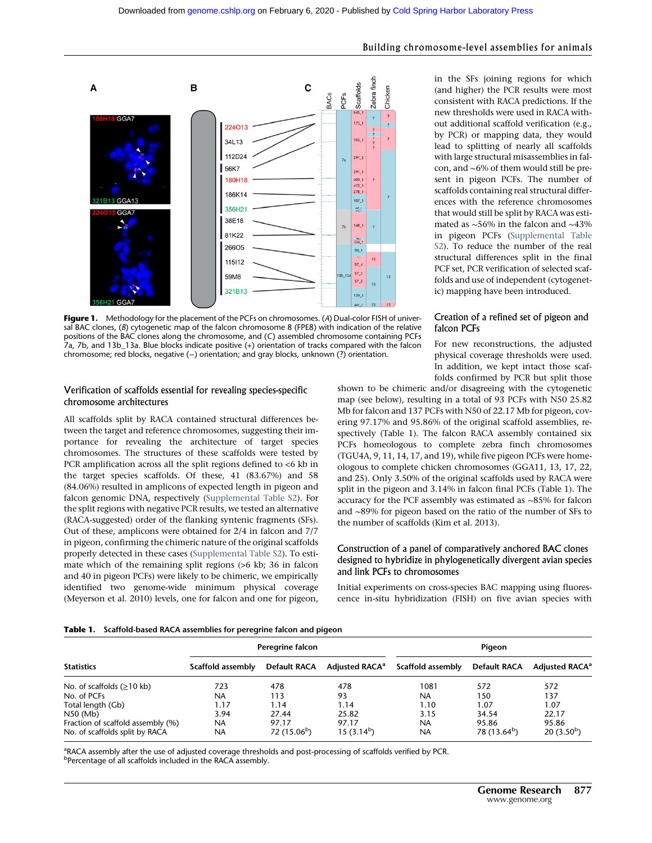

Figure 1. Methodology for the placement of the PCFs on chromosomes. (A) Dual-color FISH of universal BAC clones, (B) cytogenetic map of the falcon chromosome 8 (FPE8) with indication of the relative positions of the BAC clones along the chromosome, and (C) assembled chromosome containing PCFs 7a, 7b, and 13b\_13a. Blue blocks indicate positive (+) orientation of tracks compared with the falcon chromosome; red blocks, negative (−) orientation; and gray blocks, unknown (?) orientation.

#### Verification of scaffolds essential for revealing species-specific chromosome architectures

All scaffolds split by RACA contained structural differences between the target and reference chromosomes, suggesting their importance for revealing the architecture of target species chromosomes. The structures of these scaffolds were tested by PCR amplification across all the split regions defined to <6 kb in the target species scaffolds. Of these, 41 (83.67%) and 58 (84.06%) resulted in amplicons of expected length in pigeon and falcon genomic DNA, respectively ([Supplemental Table S2](http://genome.cshlp.org/lookup/suppl/doi:10.1101/gr.213660.116/-/DC1)). For the split regions with negative PCR results, we tested an alternative (RACA-suggested) order of the flanking syntenic fragments (SFs). Out of these, amplicons were obtained for 2/4 in falcon and 7/7 in pigeon, confirming the chimeric nature of the original scaffolds properly detected in these cases [\(Supplemental Table S2\)](http://genome.cshlp.org/lookup/suppl/doi:10.1101/gr.213660.116/-/DC1). To estimate which of the remaining split regions (>6 kb; 36 in falcon and 40 in pigeon PCFs) were likely to be chimeric, we empirically identified two genome-wide minimum physical coverage (Meyerson et al. 2010) levels, one for falcon and one for pigeon, in the SFs joining regions for which (and higher) the PCR results were most consistent with RACA predictions. If the new thresholds were used in RACA without additional scaffold verification (e.g., by PCR) or mapping data, they would lead to splitting of nearly all scaffolds with large structural misassemblies in falcon, and ∼6% of them would still be present in pigeon PCFs. The number of scaffolds containing real structural differences with the reference chromosomes that would still be split by RACA was estimated as ∼56% in the falcon and ∼43% in pigeon PCFs ([Supplemental Table](http://genome.cshlp.org/lookup/suppl/doi:10.1101/gr.213660.116/-/DC1) [S2\)](http://genome.cshlp.org/lookup/suppl/doi:10.1101/gr.213660.116/-/DC1). To reduce the number of the real structural differences split in the final PCF set, PCR verification of selected scaffolds and use of independent (cytogenetic) mapping have been introduced.

#### Creation of a refined set of pigeon and falcon PCFs

For new reconstructions, the adjusted physical coverage thresholds were used. In addition, we kept intact those scaffolds confirmed by PCR but split those

shown to be chimeric and/or disagreeing with the cytogenetic map (see below), resulting in a total of 93 PCFs with N50 25.82 Mb for falcon and 137 PCFs with N50 of 22.17 Mb for pigeon, covering 97.17% and 95.86% of the original scaffold assemblies, respectively (Table 1). The falcon RACA assembly contained six PCFs homeologous to complete zebra finch chromosomes (TGU4A, 9, 11, 14, 17, and 19), while five pigeon PCFs were homeologous to complete chicken chromosomes (GGA11, 13, 17, 22, and 25). Only 3.50% of the original scaffolds used by RACA were split in the pigeon and 3.14% in falcon final PCFs (Table 1). The accuracy for the PCF assembly was estimated as ∼85% for falcon and ∼89% for pigeon based on the ratio of the number of SFs to the number of scaffolds (Kim et al. 2013).

#### Construction of a panel of comparatively anchored BAC clones designed to hybridize in phylogenetically divergent avian species and link PCFs to chromosomes

Initial experiments on cross-species BAC mapping using fluorescence in-situ hybridization (FISH) on five avian species with

|  | <b>Table 1.</b> Scaffold-based RACA assemblies for peregrine falcon and pigeon |  |
|--|--------------------------------------------------------------------------------|--|
|--|--------------------------------------------------------------------------------|--|

|                                   | Peregrine falcon  |                     |                            | Pigeon            |                          |                                  |
|-----------------------------------|-------------------|---------------------|----------------------------|-------------------|--------------------------|----------------------------------|
| <b>Statistics</b>                 | Scaffold assembly | <b>Default RACA</b> | Adjusted RACA <sup>a</sup> | Scaffold assembly | <b>Default RACA</b>      | <b>Adjusted RACA<sup>a</sup></b> |
| No. of scaffolds $(≥10$ kb)       | 723               | 478                 | 478                        | 1081              | 572                      | 572                              |
| No. of PCFs                       | NA                | 113                 | 93                         | <b>NA</b>         | 150                      | 137                              |
| Total length (Gb)                 | 1.17              | 1.14                | 1.14                       | 1.10              | 1.07                     | 1.07                             |
| N50 (Mb)                          | 3.94              | 27.44               | 25.82                      | 3.15              | 34.54                    | 22.17                            |
| Fraction of scaffold assembly (%) | <b>NA</b>         | 97.17               | 97.17                      | <b>NA</b>         | 95.86                    | 95.86                            |
| No. of scaffolds split by RACA    | NA                | $72(15.06^b)$       | 15(3.14 <sup>b</sup> )     | <b>NA</b>         | 78 (13.64 <sup>b</sup> ) | 20 $(3.50^b)$                    |

<sup>a</sup>RACA assembly after the use of adjusted coverage thresholds and post-processing of scaffolds verified by PCR.

<sup>b</sup>Percentage of all scaffolds included in the RACA assembly.

Building chromosome-level assemblies for animals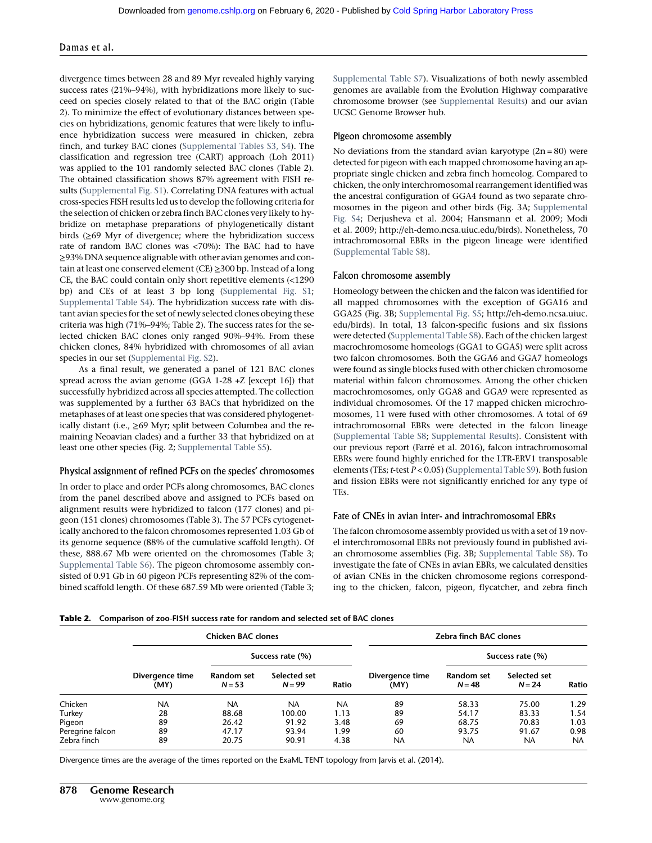#### Damas et al.

divergence times between 28 and 89 Myr revealed highly varying success rates (21%–94%), with hybridizations more likely to succeed on species closely related to that of the BAC origin (Table 2). To minimize the effect of evolutionary distances between species on hybridizations, genomic features that were likely to influence hybridization success were measured in chicken, zebra finch, and turkey BAC clones [\(Supplemental Tables S3, S4](http://genome.cshlp.org/lookup/suppl/doi:10.1101/gr.213660.116/-/DC1)). The classification and regression tree (CART) approach (Loh 2011) was applied to the 101 randomly selected BAC clones (Table 2). The obtained classification shows 87% agreement with FISH results [\(Supplemental Fig. S1\)](http://genome.cshlp.org/lookup/suppl/doi:10.1101/gr.213660.116/-/DC1). Correlating DNA features with actual cross-species FISH results led us to develop the following criteria for the selection of chicken or zebra finch BAC clones very likely to hybridize on metaphase preparations of phylogenetically distant birds (≥69 Myr of divergence; where the hybridization success rate of random BAC clones was <70%): The BAC had to have ≥93% DNA sequence alignable with other avian genomes and contain at least one conserved element (CE) ≥300 bp. Instead of a long CE, the BAC could contain only short repetitive elements (<1290 bp) and CEs of at least 3 bp long ([Supplemental Fig. S1;](http://genome.cshlp.org/lookup/suppl/doi:10.1101/gr.213660.116/-/DC1) [Supplemental Table S4](http://genome.cshlp.org/lookup/suppl/doi:10.1101/gr.213660.116/-/DC1)). The hybridization success rate with distant avian species for the set of newly selected clones obeying these criteria was high (71%–94%; Table 2). The success rates for the selected chicken BAC clones only ranged 90%–94%. From these chicken clones, 84% hybridized with chromosomes of all avian species in our set [\(Supplemental Fig. S2](http://genome.cshlp.org/lookup/suppl/doi:10.1101/gr.213660.116/-/DC1)).

As a final result, we generated a panel of 121 BAC clones spread across the avian genome (GGA 1-28 +Z [except 16]) that successfully hybridized across all species attempted. The collection was supplemented by a further 63 BACs that hybridized on the metaphases of at least one species that was considered phylogenetically distant (i.e., ≥69 Myr; split between Columbea and the remaining Neoavian clades) and a further 33 that hybridized on at least one other species (Fig. 2; [Supplemental Table S5\)](http://genome.cshlp.org/lookup/suppl/doi:10.1101/gr.213660.116/-/DC1).

#### Physical assignment of refined PCFs on the species' chromosomes

In order to place and order PCFs along chromosomes, BAC clones from the panel described above and assigned to PCFs based on alignment results were hybridized to falcon (177 clones) and pigeon (151 clones) chromosomes (Table 3). The 57 PCFs cytogenetically anchored to the falcon chromosomes represented 1.03 Gb of its genome sequence (88% of the cumulative scaffold length). Of these, 888.67 Mb were oriented on the chromosomes (Table 3; [Supplemental Table S6](http://genome.cshlp.org/lookup/suppl/doi:10.1101/gr.213660.116/-/DC1)). The pigeon chromosome assembly consisted of 0.91 Gb in 60 pigeon PCFs representing 82% of the combined scaffold length. Of these 687.59 Mb were oriented (Table 3; [Supplemental Table S7](http://genome.cshlp.org/lookup/suppl/doi:10.1101/gr.213660.116/-/DC1)). Visualizations of both newly assembled genomes are available from the Evolution Highway comparative chromosome browser (see [Supplemental Results\)](http://genome.cshlp.org/lookup/suppl/doi:10.1101/gr.213660.116/-/DC1) and our avian UCSC Genome Browser hub.

#### Pigeon chromosome assembly

No deviations from the standard avian karyotype  $(2n = 80)$  were detected for pigeon with each mapped chromosome having an appropriate single chicken and zebra finch homeolog. Compared to chicken, the only interchromosomal rearrangement identified was the ancestral configuration of GGA4 found as two separate chromosomes in the pigeon and other birds (Fig. 3A; [Supplemental](http://genome.cshlp.org/lookup/suppl/doi:10.1101/gr.213660.116/-/DC1) [Fig. S4;](http://genome.cshlp.org/lookup/suppl/doi:10.1101/gr.213660.116/-/DC1) Derjusheva et al. 2004; Hansmann et al. 2009; Modi et al. 2009; [http://eh-demo.ncsa.uiuc.edu/birds\)](http://eh-demo.ncsa.uiuc.edu/birds). Nonetheless, 70 intrachromosomal EBRs in the pigeon lineage were identified ([Supplemental Table S8](http://genome.cshlp.org/lookup/suppl/doi:10.1101/gr.213660.116/-/DC1)).

#### Falcon chromosome assembly

Homeology between the chicken and the falcon was identified for all mapped chromosomes with the exception of GGA16 and GGA25 (Fig. 3B; [Supplemental Fig. S5](http://genome.cshlp.org/lookup/suppl/doi:10.1101/gr.213660.116/-/DC1); [http://eh-demo.ncsa.uiuc.](http://eh-demo.ncsa.uiuc.edu/birds) [edu/birds\)](http://eh-demo.ncsa.uiuc.edu/birds). In total, 13 falcon-specific fusions and six fissions were detected ([Supplemental Table S8](http://genome.cshlp.org/lookup/suppl/doi:10.1101/gr.213660.116/-/DC1)). Each of the chicken largest macrochromosome homeologs (GGA1 to GGA5) were split across two falcon chromosomes. Both the GGA6 and GGA7 homeologs were found as single blocks fused with other chicken chromosome material within falcon chromosomes. Among the other chicken macrochromosomes, only GGA8 and GGA9 were represented as individual chromosomes. Of the 17 mapped chicken microchromosomes, 11 were fused with other chromosomes. A total of 69 intrachromosomal EBRs were detected in the falcon lineage ([Supplemental Table S8;](http://genome.cshlp.org/lookup/suppl/doi:10.1101/gr.213660.116/-/DC1) [Supplemental Results\)](http://genome.cshlp.org/lookup/suppl/doi:10.1101/gr.213660.116/-/DC1). Consistent with our previous report (Farré et al. 2016), falcon intrachromosomal EBRs were found highly enriched for the LTR-ERV1 transposable elements (TEs; t-test P < 0.05) [\(Supplemental Table S9](http://genome.cshlp.org/lookup/suppl/doi:10.1101/gr.213660.116/-/DC1)). Both fusion and fission EBRs were not significantly enriched for any type of TEs.

#### Fate of CNEs in avian inter- and intrachromosomal EBRs

The falcon chromosome assembly provided us with a set of 19 novel interchromosomal EBRs not previously found in published avian chromosome assemblies (Fig. 3B; [Supplemental Table S8\)](http://genome.cshlp.org/lookup/suppl/doi:10.1101/gr.213660.116/-/DC1). To investigate the fate of CNEs in avian EBRs, we calculated densities of avian CNEs in the chicken chromosome regions corresponding to the chicken, falcon, pigeon, flycatcher, and zebra finch

|  | <b>Table 2.</b> Comparison of zoo-FISH success rate for random and selected set of BAC clones |  |
|--|-----------------------------------------------------------------------------------------------|--|
|--|-----------------------------------------------------------------------------------------------|--|

|                  | <b>Chicken BAC clones</b> |                        |                          |           |                         | Zebra finch BAC clones |                          |       |
|------------------|---------------------------|------------------------|--------------------------|-----------|-------------------------|------------------------|--------------------------|-------|
|                  | Divergence time<br>(MY)   |                        | Success rate (%)         |           |                         |                        | Success rate (%)         |       |
|                  |                           | Random set<br>$N = 53$ | Selected set<br>$N = 99$ | Ratio     | Divergence time<br>(MY) | Random set<br>$N = 48$ | Selected set<br>$N = 24$ | Ratio |
| Chicken          | <b>NA</b>                 | <b>NA</b>              | NA                       | <b>NA</b> | 89                      | 58.33                  | 75.00                    | 1.29  |
| Turkey           | 28                        | 88.68                  | 100.00                   | 1.13      | 89                      | 54.17                  | 83.33                    | 1.54  |
| Pigeon           | 89                        | 26.42                  | 91.92                    | 3.48      | 69                      | 68.75                  | 70.83                    | 1.03  |
| Peregrine falcon | 89                        | 47.17                  | 93.94                    | 1.99      | 60                      | 93.75                  | 91.67                    | 0.98  |
| Zebra finch      | 89                        | 20.75                  | 90.91                    | 4.38      | <b>NA</b>               | NA                     | <b>NA</b>                | NA.   |

Divergence times are the average of the times reported on the ExaML TENT topology from Jarvis et al. (2014).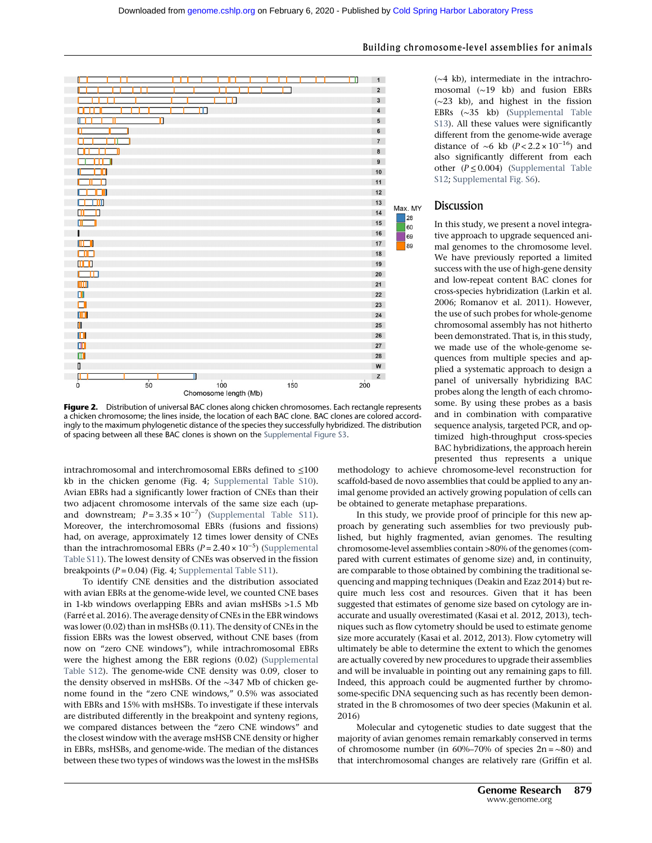

Figure 2. Distribution of universal BAC clones along chicken chromosomes. Each rectangle represents a chicken chromosome; the lines inside, the location of each BAC clone. BAC clones are colored accordingly to the maximum phylogenetic distance of the species they successfully hybridized. The distribution of spacing between all these BAC clones is shown on the [Supplemental Figure S3.](http://genome.cshlp.org/lookup/suppl/doi:10.1101/gr.213660.116/-/DC1)

intrachromosomal and interchromosomal EBRs defined to  $\leq 100$ kb in the chicken genome (Fig. 4; [Supplemental Table S10](http://genome.cshlp.org/lookup/suppl/doi:10.1101/gr.213660.116/-/DC1)). Avian EBRs had a significantly lower fraction of CNEs than their two adjacent chromosome intervals of the same size each (upand downstream;  $P = 3.35 \times 10^{-7}$ ) [\(Supplemental Table S11](http://genome.cshlp.org/lookup/suppl/doi:10.1101/gr.213660.116/-/DC1)). Moreover, the interchromosomal EBRs (fusions and fissions) had, on average, approximately 12 times lower density of CNEs than the intrachromosomal EBRs  $(P = 2.40 \times 10^{-5})$  [\(Supplemental](http://genome.cshlp.org/lookup/suppl/doi:10.1101/gr.213660.116/-/DC1) [Table S11\)](http://genome.cshlp.org/lookup/suppl/doi:10.1101/gr.213660.116/-/DC1). The lowest density of CNEs was observed in the fission breakpoints ( $P = 0.04$ ) (Fig. 4; [Supplemental Table S11](http://genome.cshlp.org/lookup/suppl/doi:10.1101/gr.213660.116/-/DC1)).

To identify CNE densities and the distribution associated with avian EBRs at the genome-wide level, we counted CNE bases in 1-kb windows overlapping EBRs and avian msHSBs >1.5 Mb (Farré et al. 2016). The average density of CNEs in the EBR windows was lower (0.02) than in msHSBs (0.11). The density of CNEs in the fission EBRs was the lowest observed, without CNE bases (from now on "zero CNE windows"), while intrachromosomal EBRs were the highest among the EBR regions (0.02) [\(Supplemental](http://genome.cshlp.org/lookup/suppl/doi:10.1101/gr.213660.116/-/DC1) [Table S12\)](http://genome.cshlp.org/lookup/suppl/doi:10.1101/gr.213660.116/-/DC1). The genome-wide CNE density was 0.09, closer to the density observed in msHSBs. Of the ∼347 Mb of chicken genome found in the "zero CNE windows," 0.5% was associated with EBRs and 15% with msHSBs. To investigate if these intervals are distributed differently in the breakpoint and synteny regions, we compared distances between the "zero CNE windows" and the closest window with the average msHSB CNE density or higher in EBRs, msHSBs, and genome-wide. The median of the distances between these two types of windows was the lowest in the msHSBs

#### Building chromosome-level assemblies for animals

(∼4 kb), intermediate in the intrachromosomal (∼19 kb) and fusion EBRs (∼23 kb), and highest in the fission EBRs (∼35 kb) ([Supplemental Table](http://genome.cshlp.org/lookup/suppl/doi:10.1101/gr.213660.116/-/DC1) [S13](http://genome.cshlp.org/lookup/suppl/doi:10.1101/gr.213660.116/-/DC1)). All these values were significantly different from the genome-wide average distance of ∼6 kb ( $P < 2.2 \times 10^{-16}$ ) and also significantly different from each other  $(P \le 0.004)$  [\(Supplemental Table](http://genome.cshlp.org/lookup/suppl/doi:10.1101/gr.213660.116/-/DC1) [S12](http://genome.cshlp.org/lookup/suppl/doi:10.1101/gr.213660.116/-/DC1); [Supplemental Fig. S6](http://genome.cshlp.org/lookup/suppl/doi:10.1101/gr.213660.116/-/DC1)).

#### **Discussion**

In this study, we present a novel integrative approach to upgrade sequenced animal genomes to the chromosome level. We have previously reported a limited success with the use of high-gene density and low-repeat content BAC clones for cross-species hybridization (Larkin et al. 2006; Romanov et al. 2011). However, the use of such probes for whole-genome chromosomal assembly has not hitherto been demonstrated. That is, in this study, we made use of the whole-genome sequences from multiple species and applied a systematic approach to design a panel of universally hybridizing BAC probes along the length of each chromosome. By using these probes as a basis and in combination with comparative sequence analysis, targeted PCR, and optimized high-throughput cross-species BAC hybridizations, the approach herein presented thus represents a unique

methodology to achieve chromosome-level reconstruction for scaffold-based de novo assemblies that could be applied to any animal genome provided an actively growing population of cells can be obtained to generate metaphase preparations.

In this study, we provide proof of principle for this new approach by generating such assemblies for two previously published, but highly fragmented, avian genomes. The resulting chromosome-level assemblies contain >80% of the genomes (compared with current estimates of genome size) and, in continuity, are comparable to those obtained by combining the traditional sequencing and mapping techniques (Deakin and Ezaz 2014) but require much less cost and resources. Given that it has been suggested that estimates of genome size based on cytology are inaccurate and usually overestimated (Kasai et al. 2012, 2013), techniques such as flow cytometry should be used to estimate genome size more accurately (Kasai et al. 2012, 2013). Flow cytometry will ultimately be able to determine the extent to which the genomes are actually covered by new procedures to upgrade their assemblies and will be invaluable in pointing out any remaining gaps to fill. Indeed, this approach could be augmented further by chromosome-specific DNA sequencing such as has recently been demonstrated in the B chromosomes of two deer species (Makunin et al. 2016)

Molecular and cytogenetic studies to date suggest that the majority of avian genomes remain remarkably conserved in terms of chromosome number (in 60%–70% of species 2n = ∼80) and that interchromosomal changes are relatively rare (Griffin et al.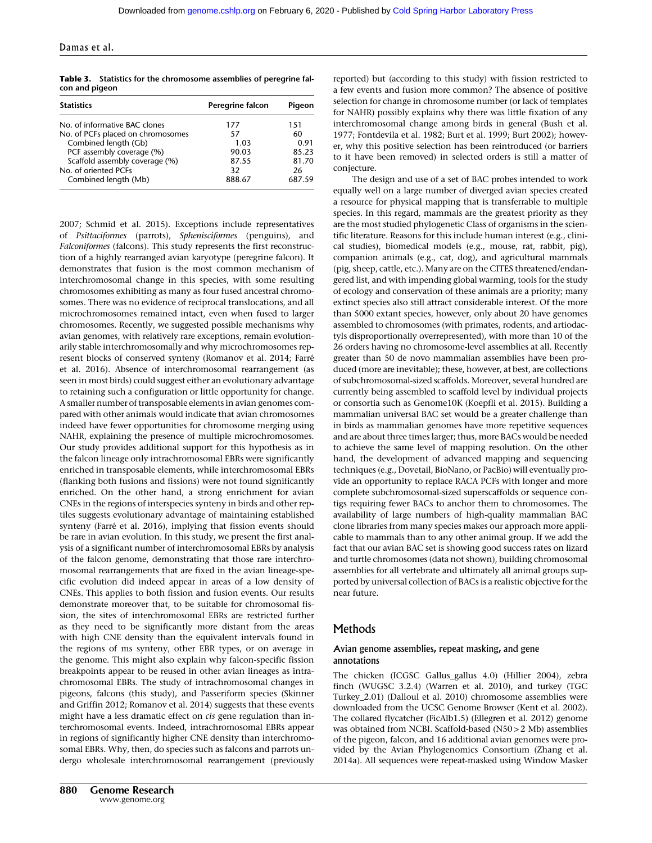| <b>Statistics</b>                 | Peregrine falcon | Pigeon |
|-----------------------------------|------------------|--------|
| No. of informative BAC clones     | 177              | 151    |
| No. of PCFs placed on chromosomes | 57               | 60     |
| Combined length (Gb)              | 1.03             | 0.91   |
| PCF assembly coverage (%)         | 90.03            | 85.23  |
| Scaffold assembly coverage (%)    | 87.55            | 81.70  |
| No. of oriented PCFs              | 32               | 26     |
| Combined length (Mb)              | 888.67           | 687.59 |

Table 3. Statistics for the chromosome assemblies of peregrine falcon and pigeon

2007; Schmid et al. 2015). Exceptions include representatives of Psittaciformes (parrots), Sphenisciformes (penguins), and Falconiformes (falcons). This study represents the first reconstruction of a highly rearranged avian karyotype (peregrine falcon). It demonstrates that fusion is the most common mechanism of interchromosomal change in this species, with some resulting chromosomes exhibiting as many as four fused ancestral chromosomes. There was no evidence of reciprocal translocations, and all microchromosomes remained intact, even when fused to larger chromosomes. Recently, we suggested possible mechanisms why avian genomes, with relatively rare exceptions, remain evolutionarily stable interchromosomally and why microchromosomes represent blocks of conserved synteny (Romanov et al. 2014; Farré et al. 2016). Absence of interchromosomal rearrangement (as seen in most birds) could suggest either an evolutionary advantage to retaining such a configuration or little opportunity for change. A smaller number of transposable elements in avian genomes compared with other animals would indicate that avian chromosomes indeed have fewer opportunities for chromosome merging using NAHR, explaining the presence of multiple microchromosomes. Our study provides additional support for this hypothesis as in the falcon lineage only intrachromosomal EBRs were significantly enriched in transposable elements, while interchromosomal EBRs (flanking both fusions and fissions) were not found significantly enriched. On the other hand, a strong enrichment for avian CNEs in the regions of interspecies synteny in birds and other reptiles suggests evolutionary advantage of maintaining established synteny (Farré et al. 2016), implying that fission events should be rare in avian evolution. In this study, we present the first analysis of a significant number of interchromosomal EBRs by analysis of the falcon genome, demonstrating that those rare interchromosomal rearrangements that are fixed in the avian lineage-specific evolution did indeed appear in areas of a low density of CNEs. This applies to both fission and fusion events. Our results demonstrate moreover that, to be suitable for chromosomal fission, the sites of interchromosomal EBRs are restricted further as they need to be significantly more distant from the areas with high CNE density than the equivalent intervals found in the regions of ms synteny, other EBR types, or on average in the genome. This might also explain why falcon-specific fission breakpoints appear to be reused in other avian lineages as intrachromosomal EBRs. The study of intrachromosomal changes in pigeons, falcons (this study), and Passeriform species (Skinner and Griffin 2012; Romanov et al. 2014) suggests that these events might have a less dramatic effect on cis gene regulation than interchromosomal events. Indeed, intrachromosomal EBRs appear in regions of significantly higher CNE density than interchromosomal EBRs. Why, then, do species such as falcons and parrots undergo wholesale interchromosomal rearrangement (previously reported) but (according to this study) with fission restricted to a few events and fusion more common? The absence of positive selection for change in chromosome number (or lack of templates for NAHR) possibly explains why there was little fixation of any interchromosomal change among birds in general (Bush et al. 1977; Fontdevila et al. 1982; Burt et al. 1999; Burt 2002); however, why this positive selection has been reintroduced (or barriers to it have been removed) in selected orders is still a matter of conjecture.

The design and use of a set of BAC probes intended to work equally well on a large number of diverged avian species created a resource for physical mapping that is transferrable to multiple species. In this regard, mammals are the greatest priority as they are the most studied phylogenetic Class of organisms in the scientific literature. Reasons for this include human interest (e.g., clinical studies), biomedical models (e.g., mouse, rat, rabbit, pig), companion animals (e.g., cat, dog), and agricultural mammals (pig, sheep, cattle, etc.). Many are on the CITES threatened/endangered list, and with impending global warming, tools for the study of ecology and conservation of these animals are a priority; many extinct species also still attract considerable interest. Of the more than 5000 extant species, however, only about 20 have genomes assembled to chromosomes (with primates, rodents, and artiodactyls disproportionally overrepresented), with more than 10 of the 26 orders having no chromosome-level assemblies at all. Recently greater than 50 de novo mammalian assemblies have been produced (more are inevitable); these, however, at best, are collections of subchromosomal-sized scaffolds. Moreover, several hundred are currently being assembled to scaffold level by individual projects or consortia such as Genome10K (Koepfli et al. 2015). Building a mammalian universal BAC set would be a greater challenge than in birds as mammalian genomes have more repetitive sequences and are about three times larger; thus, more BACs would be needed to achieve the same level of mapping resolution. On the other hand, the development of advanced mapping and sequencing techniques (e.g., Dovetail, BioNano, or PacBio) will eventually provide an opportunity to replace RACA PCFs with longer and more complete subchromosomal-sized superscaffolds or sequence contigs requiring fewer BACs to anchor them to chromosomes. The availability of large numbers of high-quality mammalian BAC clone libraries from many species makes our approach more applicable to mammals than to any other animal group. If we add the fact that our avian BAC set is showing good success rates on lizard and turtle chromosomes (data not shown), building chromosomal assemblies for all vertebrate and ultimately all animal groups supported by universal collection of BACs is a realistic objective for the near future.

#### **Methods**

#### Avian genome assemblies, repeat masking, and gene annotations

The chicken (ICGSC Gallus\_gallus 4.0) (Hillier 2004), zebra finch (WUGSC 3.2.4) (Warren et al. 2010), and turkey (TGC Turkey\_2.01) (Dalloul et al. 2010) chromosome assemblies were downloaded from the UCSC Genome Browser (Kent et al. 2002). The collared flycatcher (FicAlb1.5) (Ellegren et al. 2012) genome was obtained from NCBI. Scaffold-based (N50 > 2 Mb) assemblies of the pigeon, falcon, and 16 additional avian genomes were provided by the Avian Phylogenomics Consortium (Zhang et al. 2014a). All sequences were repeat-masked using Window Masker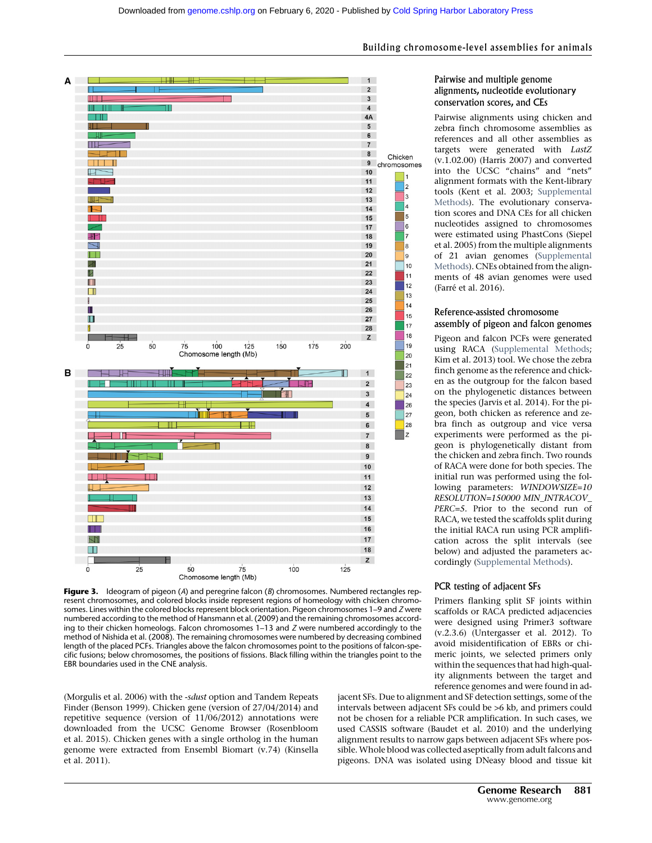

**Figure 3.** Ideogram of pigeon (A) and peregrine falcon  $(B)$  chromosomes. Numbered rectangles represent chromosomes, and colored blocks inside represent regions of homeology with chicken chromosomes. Lines within the colored blocks represent block orientation. Pigeon chromosomes 1–9 and Z were numbered according to the method of Hansmann et al. (2009) and the remaining chromosomes according to their chicken homeologs. Falcon chromosomes 1–13 and Z were numbered accordingly to the method of Nishida et al. (2008). The remaining chromosomes were numbered by decreasing combined length of the placed PCFs. Triangles above the falcon chromosomes point to the positions of falcon-specific fusions; below chromosomes, the positions of fissions. Black filling within the triangles point to the EBR boundaries used in the CNE analysis.

(Morgulis et al. 2006) with the -sdust option and Tandem Repeats Finder (Benson 1999). Chicken gene (version of 27/04/2014) and repetitive sequence (version of 11/06/2012) annotations were downloaded from the UCSC Genome Browser (Rosenbloom et al. 2015). Chicken genes with a single ortholog in the human genome were extracted from Ensembl Biomart (v.74) (Kinsella et al. 2011).

#### Building chromosome-level assemblies for animals

#### Pairwise and multiple genome alignments, nucleotide evolutionary conservation scores, and CEs

Pairwise alignments using chicken and zebra finch chromosome assemblies as references and all other assemblies as targets were generated with LastZ (v.1.02.00) (Harris 2007) and converted into the UCSC "chains" and "nets" alignment formats with the Kent-library tools (Kent et al. 2003; [Supplemental](http://genome.cshlp.org/lookup/suppl/doi:10.1101/gr.213660.116/-/DC1) [Methods](http://genome.cshlp.org/lookup/suppl/doi:10.1101/gr.213660.116/-/DC1)). The evolutionary conservation scores and DNA CEs for all chicken nucleotides assigned to chromosomes were estimated using PhastCons (Siepel et al. 2005) from the multiple alignments of 21 avian genomes [\(Supplemental](http://genome.cshlp.org/lookup/suppl/doi:10.1101/gr.213660.116/-/DC1) [Methods](http://genome.cshlp.org/lookup/suppl/doi:10.1101/gr.213660.116/-/DC1)). CNEs obtained from the alignments of 48 avian genomes were used (Farré et al. 2016).

#### Reference-assisted chromosome assembly of pigeon and falcon genomes

Pigeon and falcon PCFs were generated using RACA ([Supplemental Methods;](http://genome.cshlp.org/lookup/suppl/doi:10.1101/gr.213660.116/-/DC1) Kim et al. 2013) tool. We chose the zebra finch genome as the reference and chicken as the outgroup for the falcon based on the phylogenetic distances between the species (Jarvis et al. 2014). For the pigeon, both chicken as reference and zebra finch as outgroup and vice versa experiments were performed as the pigeon is phylogenetically distant from the chicken and zebra finch. Two rounds of RACA were done for both species. The initial run was performed using the following parameters: WINDOWSIZE=10 RESOLUTION=150000 MIN\_INTRACOV\_ PERC=5. Prior to the second run of RACA, we tested the scaffolds split during the initial RACA run using PCR amplification across the split intervals (see below) and adjusted the parameters accordingly ([Supplemental Methods](http://genome.cshlp.org/lookup/suppl/doi:10.1101/gr.213660.116/-/DC1)).

#### PCR testing of adjacent SFs

Primers flanking split SF joints within scaffolds or RACA predicted adjacencies were designed using Primer3 software (v.2.3.6) (Untergasser et al. 2012). To avoid misidentification of EBRs or chimeric joints, we selected primers only within the sequences that had high-quality alignments between the target and reference genomes and were found in ad-

jacent SFs. Due to alignment and SF detection settings, some of the intervals between adjacent SFs could be >6 kb, and primers could not be chosen for a reliable PCR amplification. In such cases, we used CASSIS software (Baudet et al. 2010) and the underlying alignment results to narrow gaps between adjacent SFs where possible. Whole blood was collected aseptically from adult falcons and pigeons. DNA was isolated using DNeasy blood and tissue kit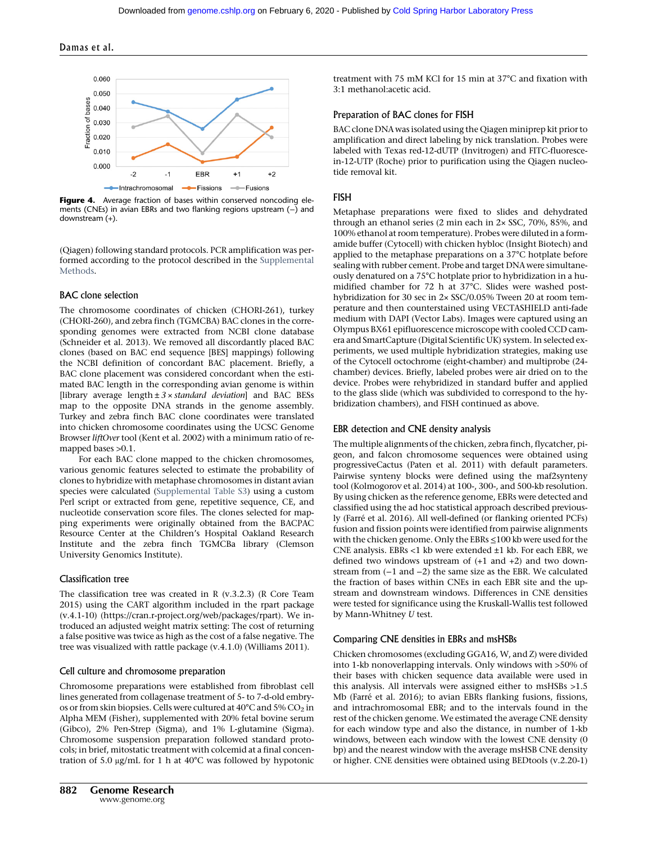

Figure 4. Average fraction of bases within conserved noncoding elements (CNEs) in avian EBRs and two flanking regions upstream (−) and downstream (+).

(Qiagen) following standard protocols. PCR amplification was performed according to the protocol described in the [Supplemental](http://genome.cshlp.org/lookup/suppl/doi:10.1101/gr.213660.116/-/DC1) **[Methods](http://genome.cshlp.org/lookup/suppl/doi:10.1101/gr.213660.116/-/DC1)** 

#### BAC clone selection

The chromosome coordinates of chicken (CHORI-261), turkey (CHORI-260), and zebra finch (TGMCBA) BAC clones in the corresponding genomes were extracted from NCBI clone database (Schneider et al. 2013). We removed all discordantly placed BAC clones (based on BAC end sequence [BES] mappings) following the NCBI definition of concordant BAC placement. Briefly, a BAC clone placement was considered concordant when the estimated BAC length in the corresponding avian genome is within [library average length  $\pm 3 \times$  standard deviation] and BAC BESs map to the opposite DNA strands in the genome assembly. Turkey and zebra finch BAC clone coordinates were translated into chicken chromosome coordinates using the UCSC Genome Browser liftOver tool (Kent et al. 2002) with a minimum ratio of remapped bases >0.1.

For each BAC clone mapped to the chicken chromosomes, various genomic features selected to estimate the probability of clones to hybridize with metaphase chromosomes in distant avian species were calculated [\(Supplemental Table S3](http://genome.cshlp.org/lookup/suppl/doi:10.1101/gr.213660.116/-/DC1)) using a custom Perl script or extracted from gene, repetitive sequence, CE, and nucleotide conservation score files. The clones selected for mapping experiments were originally obtained from the BACPAC Resource Center at the Children's Hospital Oakland Research Institute and the zebra finch TGMCBa library (Clemson University Genomics Institute).

#### Classification tree

The classification tree was created in R (v.3.2.3) (R Core Team 2015) using the CART algorithm included in the rpart package (v.4.1-10) [\(https://cran.r-project.org/web/packages/rpart](https://cran.r-project.org/web/packages/rpart)). We introduced an adjusted weight matrix setting: The cost of returning a false positive was twice as high as the cost of a false negative. The tree was visualized with rattle package (v.4.1.0) (Williams 2011).

#### Cell culture and chromosome preparation

Chromosome preparations were established from fibroblast cell lines generated from collagenase treatment of 5- to 7-d-old embryos or from skin biopsies. Cells were cultured at  $40^{\circ}$ C and  $5\%$  CO<sub>2</sub> in Alpha MEM (Fisher), supplemented with 20% fetal bovine serum (Gibco), 2% Pen-Strep (Sigma), and 1% L-glutamine (Sigma). Chromosome suspension preparation followed standard protocols; in brief, mitostatic treatment with colcemid at a final concentration of 5.0 μg/mL for 1 h at 40°C was followed by hypotonic treatment with 75 mM KCl for 15 min at 37°C and fixation with 3:1 methanol:acetic acid.

#### Preparation of BAC clones for FISH

BAC clone DNA was isolated using the Qiagen miniprep kit prior to amplification and direct labeling by nick translation. Probes were labeled with Texas red-12-dUTP (Invitrogen) and FITC-fluorescein-12-UTP (Roche) prior to purification using the Qiagen nucleotide removal kit.

#### FISH

Metaphase preparations were fixed to slides and dehydrated through an ethanol series (2 min each in 2× SSC, 70%, 85%, and 100% ethanol at room temperature). Probes were diluted in a formamide buffer (Cytocell) with chicken hybloc (Insight Biotech) and applied to the metaphase preparations on a 37°C hotplate before sealing with rubber cement. Probe and target DNA were simultaneously denatured on a 75°C hotplate prior to hybridization in a humidified chamber for 72 h at 37°C. Slides were washed posthybridization for 30 sec in 2× SSC/0.05% Tween 20 at room temperature and then counterstained using VECTASHIELD anti-fade medium with DAPI (Vector Labs). Images were captured using an Olympus BX61 epifluorescence microscope with cooled CCD camera and SmartCapture (Digital Scientific UK) system. In selected experiments, we used multiple hybridization strategies, making use of the Cytocell octochrome (eight-chamber) and multiprobe (24 chamber) devices. Briefly, labeled probes were air dried on to the device. Probes were rehybridized in standard buffer and applied to the glass slide (which was subdivided to correspond to the hybridization chambers), and FISH continued as above.

#### EBR detection and CNE density analysis

The multiple alignments of the chicken, zebra finch, flycatcher, pigeon, and falcon chromosome sequences were obtained using progressiveCactus (Paten et al. 2011) with default parameters. Pairwise synteny blocks were defined using the maf2synteny tool (Kolmogorov et al. 2014) at 100-, 300-, and 500-kb resolution. By using chicken as the reference genome, EBRs were detected and classified using the ad hoc statistical approach described previously (Farré et al. 2016). All well-defined (or flanking oriented PCFs) fusion and fission points were identified from pairwise alignments with the chicken genome. Only the EBRs ≤100 kb were used for the CNE analysis. EBRs <1 kb were extended ±1 kb. For each EBR, we defined two windows upstream of (+1 and +2) and two downstream from (−1 and −2) the same size as the EBR. We calculated the fraction of bases within CNEs in each EBR site and the upstream and downstream windows. Differences in CNE densities were tested for significance using the Kruskall-Wallis test followed by Mann-Whitney U test.

#### Comparing CNE densities in EBRs and msHSBs

Chicken chromosomes (excluding GGA16, W, and Z) were divided into 1-kb nonoverlapping intervals. Only windows with >50% of their bases with chicken sequence data available were used in this analysis. All intervals were assigned either to msHSBs >1.5 Mb (Farré et al. 2016); to avian EBRs flanking fusions, fissions, and intrachromosomal EBR; and to the intervals found in the rest of the chicken genome. We estimated the average CNE density for each window type and also the distance, in number of 1-kb windows, between each window with the lowest CNE density (0 bp) and the nearest window with the average msHSB CNE density or higher. CNE densities were obtained using BEDtools (v.2.20-1)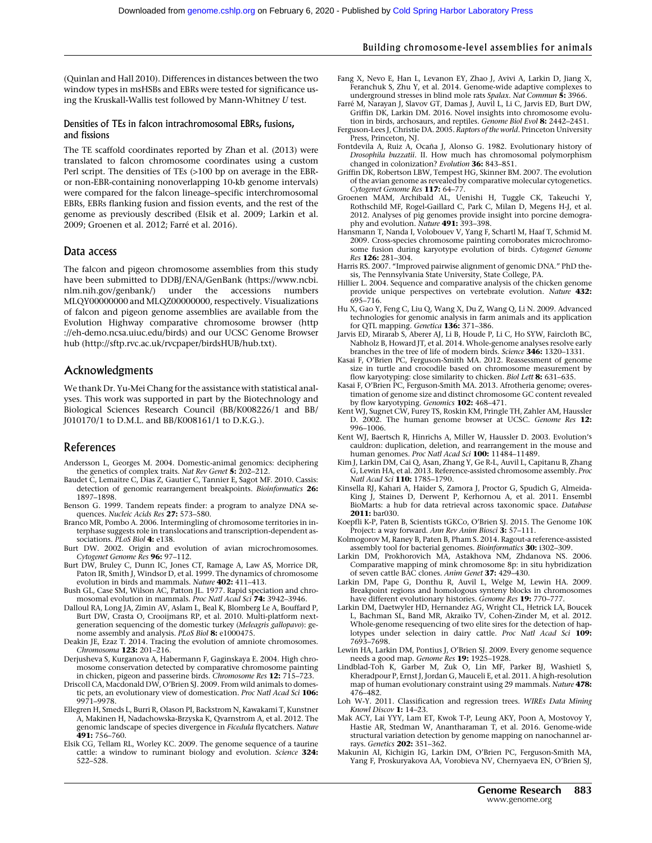#### Building chromosome-level assemblies for animals

(Quinlan and Hall 2010). Differences in distances between the two window types in msHSBs and EBRs were tested for significance using the Kruskall-Wallis test followed by Mann-Whitney U test.

#### Densities of TEs in falcon intrachromosomal EBRs, fusions, and fissions

The TE scaffold coordinates reported by Zhan et al. (2013) were translated to falcon chromosome coordinates using a custom Perl script. The densities of TEs (>100 bp on average in the EBRor non-EBR-containing nonoverlapping 10-kb genome intervals) were compared for the falcon lineage–specific interchromosomal EBRs, EBRs flanking fusion and fission events, and the rest of the genome as previously described (Elsik et al. 2009; Larkin et al. 2009; Groenen et al. 2012; Farré et al. 2016).

#### Data access

The falcon and pigeon chromosome assemblies from this study have been submitted to DDBJ/ENA/GenBank ([https://www.ncbi.](https://www.ncbi.nlm.nih.gov/genbank/) [nlm.nih.gov/genbank/](https://www.ncbi.nlm.nih.gov/genbank/)) under the accessions numbers MLQY00000000 and MLQZ00000000, respectively. Visualizations of falcon and pigeon genome assemblies are available from the Evolution Highway comparative chromosome browser [\(http](http://eh-demo.ncsa.uiuc.edu/birds) [://eh-demo.ncsa.uiuc.edu/birds](http://eh-demo.ncsa.uiuc.edu/birds)) and our UCSC Genome Browser hub (<http://sftp.rvc.ac.uk/rvcpaper/birdsHUB/hub.txt>).

#### Acknowledgments

We thank Dr. Yu-Mei Chang for the assistance with statistical analyses. This work was supported in part by the Biotechnology and Biological Sciences Research Council (BB/K008226/1 and BB/ J010170/1 to D.M.L. and BB/K008161/1 to D.K.G.).

#### References

- Andersson L, Georges M. 2004. Domestic-animal genomics: deciphering the genetics of complex traits. Nat Rev Genet 5: 202-212.
- Baudet C, Lemaitre C, Dias Z, Gautier C, Tannier E, Sagot MF. 2010. Cassis: detection of genomic rearrangement breakpoints. Bioinformatics 26: 1897–1898.
- Benson G. 1999. Tandem repeats finder: a program to analyze DNA sequences. Nucleic Acids Res 27: 573-580.
- Branco MR, Pombo A. 2006. Intermingling of chromosome territories in interphase suggests role in translocations and transcription-dependent associations. PLoS Biol 4: e138.
- Burt DW. 2002. Origin and evolution of avian microchromosomes. Cytogenet Genome Res 96: 97–112.
- Burt DW, Bruley C, Dunn IC, Jones CT, Ramage A, Law AS, Morrice DR, Paton IR, Smith J, Windsor D, et al. 1999. The dynamics of chromosome evolution in birds and mammals. Nature 402: 411–413.
- Bush GL, Case SM, Wilson AC, Patton JL. 1977. Rapid speciation and chromosomal evolution in mammals. *Proc Natl Acad Sci* **74:** 3942–3946.
- Dalloul RA, Long JA, Zimin AV, Aslam L, Beal K, Blomberg Le A, Bouffard P, Burt DW, Crasta O, Crooijmans RP, et al. 2010. Multi-platform nextgeneration sequencing of the domestic turkey (Meleagris gallopavo): genome assembly and analysis. PLoS Biol 8: e1000475.
- Deakin JE, Ezaz T. 2014. Tracing the evolution of amniote chromosomes. Chromosoma 123: 201–216.
- Derjusheva S, Kurganova A, Habermann F, Gaginskaya E. 2004. High chromosome conservation detected by comparative chromosome painting in chicken, pigeon and passerine birds. Chromosome Res 12: 715–723.
- Driscoll CA, Macdonald DW, O'Brien SJ. 2009. From wild animals to domestic pets, an evolutionary view of domestication. Proc Natl Acad Sci 106: 9971–9978.
- Ellegren H, Smeds L, Burri R, Olason PI, Backstrom N, Kawakami T, Kunstner A, Makinen H, Nadachowska-Brzyska K, Qvarnstrom A, et al. 2012. The genomic landscape of species divergence in Ficedula flycatchers. Nature 491: 756–760.
- Elsik CG, Tellam RL, Worley KC. 2009. The genome sequence of a taurine cattle: a window to ruminant biology and evolution. Science 324: 522–528.
- Fang X, Nevo E, Han L, Levanon EY, Zhao J, Avivi A, Larkin D, Jiang X, Feranchuk S, Zhu Y, et al. 2014. Genome-wide adaptive complexes to underground stresses in blind mole rats Spalax. Nat Commun 5: 3966.
- Farré M, Narayan J, Slavov GT, Damas J, Auvil L, Li C, Jarvis ED, Burt DW, Griffin DK, Larkin DM. 2016. Novel insights into chromosome evolution in birds, archosaurs, and reptiles. Genome Biol Evol 8: 2442-2451.
- Ferguson-Lees J, Christie DA. 2005. Raptors of the world. Princeton University
- Press, Princeton, NJ. Fontdevila A, Ruiz A, Ocaña J, Alonso G. 1982. Evolutionary history of Drosophila buzzatii. II. How much has chromosomal polymorphism changed in colonization? Evolution 36: 843–851.
- Griffin DK, Robertson LBW, Tempest HG, Skinner BM. 2007. The evolution of the avian genome as revealed by comparative molecular cytogenetics. Cytogenet Genome Res 117: 64–77.
- Groenen MAM, Archibald AL, Uenishi H, Tuggle CK, Takeuchi Y, Rothschild MF, Rogel-Gaillard C, Park C, Milan D, Megens H-J, et al. 2012. Analyses of pig genomes provide insight into porcine demogra-<br>phy and evolution. *Nature* **491:** 393–398.
- Hansmann T, Nanda I, Volobouev V, Yang F, Schartl M, Haaf T, Schmid M. 2009. Cross-species chromosome painting corroborates microchromosome fusion during karyotype evolution of birds. Cytogenet Genome Res 126: 281–304.
- Harris RS. 2007. "Improved pairwise alignment of genomic DNA." PhD thesis, The Pennsylvania State University, State College, PA.
- Hillier L. 2004. Sequence and comparative analysis of the chicken genome provide unique perspectives on vertebrate evolution. Nature 432: 695–716.
- Hu X, Gao Y, Feng C, Liu Q, Wang X, Du Z, Wang Q, Li N. 2009. Advanced technologies for genomic analysis in farm animals and its application
- for QTL mapping. Genetica 136: 371–386. Jarvis ED, Mirarab S, Aberer AJ, Li B, Houde P, Li C, Ho SYW, Faircloth BC, Nabholz B, Howard JT, et al. 2014. Whole-genome analyses resolve early branches in the tree of life of modern birds. Science 346: 1320–1331.
- Kasai F, O'Brien PC, Ferguson-Smith MA. 2012. Reassessment of genome size in turtle and crocodile based on chromosome measurement by flow karyotyping: close similarity to chicken. *Biol Lett* **8:** 631–635.
- Kasai F, O'Brien PC, Ferguson-Smith MA. 2013. Afrotheria genome; overestimation of genome size and distinct chromosome GC content revealed by flow karyotyping. Genomics 102: 468-471.
- Kent WJ, Sugnet CW, Furey TS, Roskin KM, Pringle TH, Zahler AM, Haussler D. 2002. The human genome browser at UCSC. Genome Res 12: 996–1006.
- Kent WJ, Baertsch R, Hinrichs A, Miller W, Haussler D. 2003. Evolution's cauldron: duplication, deletion, and rearrangement in the mouse and human genomes. Proc Natl Acad Sci 100: 11484-11489.
- Kim J, Larkin DM, Cai Q, Asan, Zhang Y, Ge R-L, Auvil L, Capitanu B, Zhang G, Lewin HA, et al. 2013. Reference-assisted chromosome assembly. Proc Natl Acad Sci 110: 1785–1790.
- Kinsella RJ, Kahari A, Haider S, Zamora J, Proctor G, Spudich G, Almeida-King J, Staines D, Derwent P, Kerhornou A, et al. 2011. Ensembl BioMarts: a hub for data retrieval across taxonomic space. Database 2011: bar030.
- Koepfli K-P, Paten B, Scientists tGKCo, O'Brien SJ. 2015. The Genome 10K Project: a way forward. Ann Rev Anim Biosci 3: 57-111.
- Kolmogorov M, Raney B, Paten B, Pham S. 2014. Ragout-a reference-assisted assembly tool for bacterial genomes. Bioinformatics 30: i302–309.
- Larkin DM, Prokhorovich MA, Astakhova NM, Zhdanova NS. 2006. Comparative mapping of mink chromosome 8p: in situ hybridization of seven cattle BAC clones. Anim Genet 37: 429–430.
- Larkin DM, Pape G, Donthu R, Auvil L, Welge M, Lewin HA. 2009. Breakpoint regions and homologous synteny blocks in chromosomes have different evolutionary histories. Genome Res 19: 770–777.
- Larkin DM, Daetwyler HD, Hernandez AG, Wright CL, Hetrick LA, Boucek L, Bachman SL, Band MR, Akraiko TV, Cohen-Zinder M, et al. 2012. Whole-genome resequencing of two elite sires for the detection of hap-<br>lotypes under selection in dairy cattle. *Proc Natl Acad Sci* **109:** 7693–7698.
- Lewin HA, Larkin DM, Pontius J, O'Brien SJ. 2009. Every genome sequence
- needs a good map. Genome Res 19: 1925–1928.<br>Lindblad-Toh K, Garber M, Zuk O, Lin MF, Parker BJ, Washietl S, Kheradpour P, Ernst J, Jordan G, Mauceli E, et al. 2011. A high-resolution map of human evolutionary constraint using 29 mammals. Nature 478: 476–482.
- Loh W-Y. 2011. Classification and regression trees. WIREs Data Mining Knowl Discov 1: 14–23.
- Mak ACY, Lai YYY, Lam ET, Kwok T-P, Leung AKY, Poon A, Mostovoy Y, Hastie AR, Stedman W, Anantharaman T, et al. 2016. Genome-wide structural variation detection by genome mapping on nanochannel arrays. Genetics 202: 351–362.
- Makunin AI, Kichigin IG, Larkin DM, O'Brien PC, Ferguson-Smith MA, Yang F, Proskuryakova AA, Vorobieva NV, Chernyaeva EN, O'Brien SJ,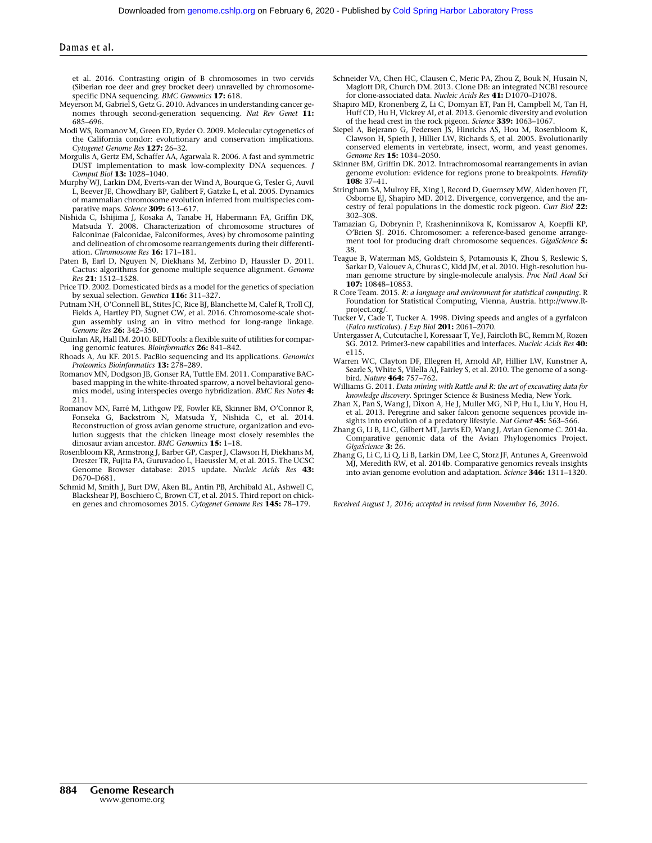#### Damas et al.

et al. 2016. Contrasting origin of B chromosomes in two cervids (Siberian roe deer and grey brocket deer) unravelled by chromosomespecific DNA sequencing. BMC Genomics 17: 618.

- Meyerson M, Gabriel S, Getz G. 2010. Advances in understanding cancer genomes through second-generation sequencing. Nat Rev Genet 11: 685–696.
- Modi WS, Romanov M, Green ED, Ryder O. 2009. Molecular cytogenetics of the California condor: evolutionary and conservation implications. Cytogenet Genome Res 127: 26–32.
- Morgulis A, Gertz EM, Schaffer AA, Agarwala R. 2006. A fast and symmetric DUST implementation to mask low-complexity DNA sequences. J Comput Biol 13: 1028–1040.
- Murphy WJ, Larkin DM, Everts-van der Wind A, Bourque G, Tesler G, Auvil L, Beever JE, Chowdhary BP, Galibert F, Gatzke L, et al. 2005. Dynamics of mammalian chromosome evolution inferred from multispecies comparative maps. Science 309: 613-617.
- Nishida C, Ishijima J, Kosaka A, Tanabe H, Habermann FA, Griffin DK, Matsuda Y. 2008. Characterization of chromosome structures of Falconinae (Falconidae, Falconiformes, Aves) by chromosome painting and delineation of chromosome rearrangements during their differentiation. Chromosome Res 16: 171–181.
- Paten B, Earl D, Nguyen N, Diekhans M, Zerbino D, Haussler D. 2011. Cactus: algorithms for genome multiple sequence alignment. Genome Res 21: 1512–1528.
- Price TD. 2002. Domesticated birds as a model for the genetics of speciation by sexual selection. Genetica 116: 311–327.
- Putnam NH, O'Connell BL, Stites JC, Rice BJ, Blanchette M, Calef R, Troll CJ, Fields A, Hartley PD, Sugnet CW, et al. 2016. Chromosome-scale shotgun assembly using an in vitro method for long-range linkage. Genome Res 26: 342–350.
- Quinlan AR, Hall IM. 2010. BEDTools: a flexible suite of utilities for comparing genomic features. Bioinformatics 26: 841–842.
- Rhoads A, Au KF. 2015. PacBio sequencing and its applications. Genomics Proteomics Bioinformatics 13: 278–289.
- Romanov MN, Dodgson JB, Gonser RA, Tuttle EM. 2011. Comparative BACbased mapping in the white-throated sparrow, a novel behavioral genomics model, using interspecies overgo hybridization. BMC Res Notes 4: 211.
- Romanov MN, Farré M, Lithgow PE, Fowler KE, Skinner BM, O'Connor R, Fonseka G, Backström N, Matsuda Y, Nishida C, et al. 2014. Reconstruction of gross avian genome structure, organization and evolution suggests that the chicken lineage most closely resembles the dinosaur avian ancestor. BMC Genomics 15: 1-18.
- Rosenbloom KR, Armstrong J, Barber GP, Casper J, Clawson H, Diekhans M, Dreszer TR, Fujita PA, Guruvadoo L, Haeussler M, et al. 2015. The UCSC Genome Browser database: 2015 update. Nucleic Acids Res 43: D670–D681.
- Schmid M, Smith J, Burt DW, Aken BL, Antin PB, Archibald AL, Ashwell C, Blackshear PJ, Boschiero C, Brown CT, et al. 2015. Third report on chicken genes and chromosomes 2015. Cytogenet Genome Res 145: 78–179.
- Schneider VA, Chen HC, Clausen C, Meric PA, Zhou Z, Bouk N, Husain N, Maglott DR, Church DM. 2013. Clone DB: an integrated NCBI resource for clone-associated data. Nucleic Acids Res 41: D1070–D1078.
- Shapiro MD, Kronenberg Z, Li C, Domyan ET, Pan H, Campbell M, Tan H, Huff CD, Hu H, Vickrey AI, et al. 2013. Genomic diversity and evolution of the head crest in the rock pigeon. Science 339: 1063-1067.
- Siepel A, Bejerano G, Pedersen JS, Hinrichs AS, Hou M, Rosenbloom K, Clawson H, Spieth J, Hillier LW, Richards S, et al. 2005. Evolutionarily conserved elements in vertebrate, insect, worm, and yeast genomes. Genome Res 15: 1034-2050.
- Skinner BM, Griffin DK. 2012. Intrachromosomal rearrangements in avian genome evolution: evidence for regions prone to breakpoints. Heredity 108: 37–41.
- Stringham SA, Mulroy EE, Xing J, Record D, Guernsey MW, Aldenhoven JT, Osborne EJ, Shapiro MD. 2012. Divergence, convergence, and the ancestry of feral populations in the domestic rock pigeon. Curr Biol 22: 302–308.
- Tamazian G, Dobrynin P, Krasheninnikova K, Komissarov A, Koepfli KP, O'Brien SJ. 2016. Chromosomer: a reference-based genome arrangement tool for producing draft chromosome sequences. GigaScience 5: 38.
- Teague B, Waterman MS, Goldstein S, Potamousis K, Zhou S, Reslewic S, Sarkar D, Valouev A, Churas C, Kidd JM, et al. 2010. High-resolution human genome structure by single-molecule analysis. Proc Natl Acad Sci 107: 10848–10853.
- R Core Team. 2015. R: a language and environment for statistical computing. R Foundation for Statistical Computing, Vienna, Austria. [http://www.R](http://www.R-project.org/)[project.org/.](http://www.R-project.org/)
- Tucker V, Cade T, Tucker A. 1998. Diving speeds and angles of a gyrfalcon (Falco rusticolus). J Exp Biol 201: 2061–2070.
- Untergasser A, Cutcutache I, Koressaar T, Ye J, Faircloth BC, Remm M, Rozen SG. 2012. Primer3-new capabilities and interfaces. Nucleic Acids Res 40: e115.
- Warren WC, Clayton DF, Ellegren H, Arnold AP, Hillier LW, Kunstner A, Searle S, White S, Vilella AJ, Fairley S, et al. 2010. The genome of a songbird. Nature 464: 757–762.
- Williams G. 2011. Data mining with Rattle and R: the art of excavating data for knowledge discovery. Springer Science & Business Media, New York.
- Zhan X, Pan S, Wang J, Dixon A, He J, Muller MG, Ni P, Hu L, Liu Y, Hou H, et al. 2013. Peregrine and saker falcon genome sequences provide insights into evolution of a predatory lifestyle. Nat Genet **45:** 563–566.
- Zhang G, Li B, Li C, Gilbert MT, Jarvis ED, Wang J, Avian Genome C. 2014a. Comparative genomic data of the Avian Phylogenomics Project. GigaScience 3: 26.
- Zhang G, Li C, Li Q, Li B, Larkin DM, Lee C, Storz JF, Antunes A, Greenwold MJ, Meredith RW, et al. 2014b. Comparative genomics reveals insights into avian genome evolution and adaptation. Science 346: 1311–1320.

Received August 1, 2016; accepted in revised form November 16, 2016.